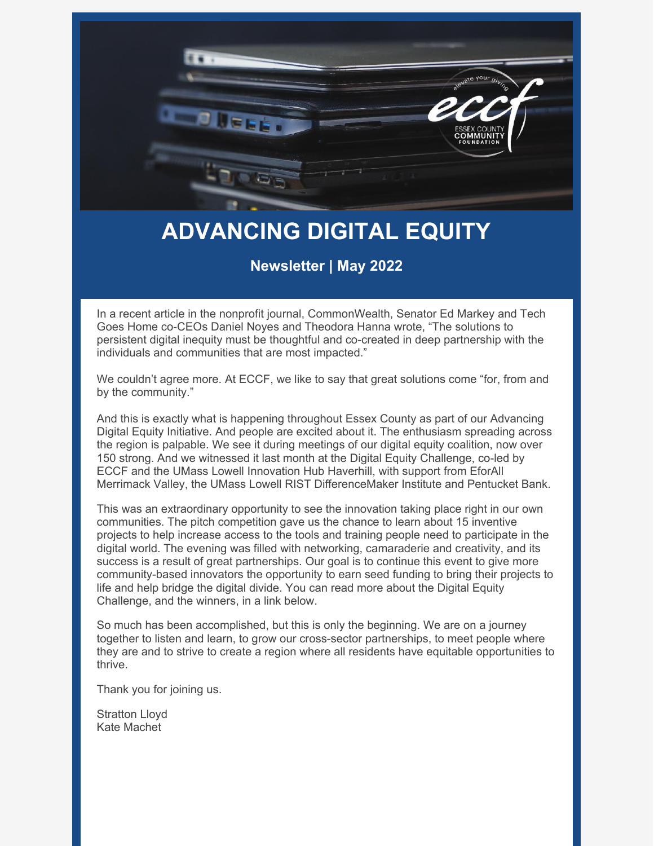

# **ADVANCING DIGITAL EQUITY**

#### **Newsletter | May 2022**

In a recent article in the nonprofit journal, CommonWealth, Senator Ed Markey and Tech Goes Home co-CEOs Daniel Noyes and Theodora Hanna wrote, "The solutions to persistent digital inequity must be thoughtful and co-created in deep partnership with the individuals and communities that are most impacted."

We couldn't agree more. At ECCF, we like to say that great solutions come "for, from and by the community."

And this is exactly what is happening throughout Essex County as part of our Advancing Digital Equity Initiative. And people are excited about it. The enthusiasm spreading across the region is palpable. We see it during meetings of our digital equity coalition, now over 150 strong. And we witnessed it last month at the Digital Equity Challenge, co-led by ECCF and the UMass Lowell Innovation Hub Haverhill, with support from EforAll Merrimack Valley, the UMass Lowell RIST DifferenceMaker Institute and Pentucket Bank.

This was an extraordinary opportunity to see the innovation taking place right in our own communities. The pitch competition gave us the chance to learn about 15 inventive projects to help increase access to the tools and training people need to participate in the digital world. The evening was filled with networking, camaraderie and creativity, and its success is a result of great partnerships. Our goal is to continue this event to give more community-based innovators the opportunity to earn seed funding to bring their projects to life and help bridge the digital divide. You can read more about the Digital Equity Challenge, and the winners, in a link below.

So much has been accomplished, but this is only the beginning. We are on a journey together to listen and learn, to grow our cross-sector partnerships, to meet people where they are and to strive to create a region where all residents have equitable opportunities to thrive.

Thank you for joining us.

Stratton Lloyd Kate Machet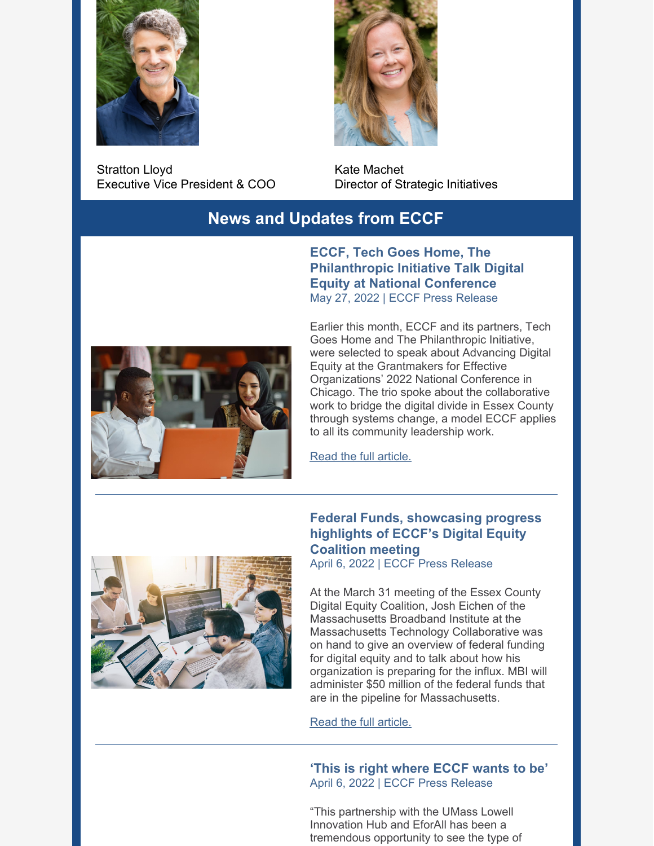

Stratton Lloyd Executive Vice President & COO



Kate Machet Director of Strategic Initiatives

#### **News and Updates from ECCF**

**ECCF, Tech Goes Home, The Philanthropic Initiative Talk Digital Equity at National Conference** May 27, 2022 | ECCF Press Release



Earlier this month, ECCF and its partners, Tech Goes Home and The Philanthropic Initiative, were selected to speak about Advancing Digital Equity at the Grantmakers for Effective Organizations' 2022 National Conference in Chicago. The trio spoke about the collaborative work to bridge the digital divide in Essex County through systems change, a model ECCF applies to all its community leadership work.

Read the full [article.](https://www.eccf.org/blog/2022/05/27/eccf-tech-goes-home-the-philanthropic-initiative-talk-digital-equity-at-national-conference/)



### **Federal Funds, showcasing progress highlights of ECCF's Digital Equity Coalition meeting**

April 6, 2022 | ECCF Press Release

At the March 31 meeting of the Essex County Digital Equity Coalition, Josh Eichen of the Massachusetts Broadband Institute at the Massachusetts Technology Collaborative was on hand to give an overview of federal funding for digital equity and to talk about how his organization is preparing for the influx. MBI will administer \$50 million of the federal funds that are in the pipeline for Massachusetts.

Read the full [article.](https://www.eccf.org/blog/2022/04/06/federal-funds-showcasing-progress-highlights-of-eccfs-digital-equity-coalition-meeting/)

**'This is right where ECCF wants to be'** April 6, 2022 | ECCF Press Release

"This partnership with the UMass Lowell Innovation Hub and EforAll has been a tremendous opportunity to see the type of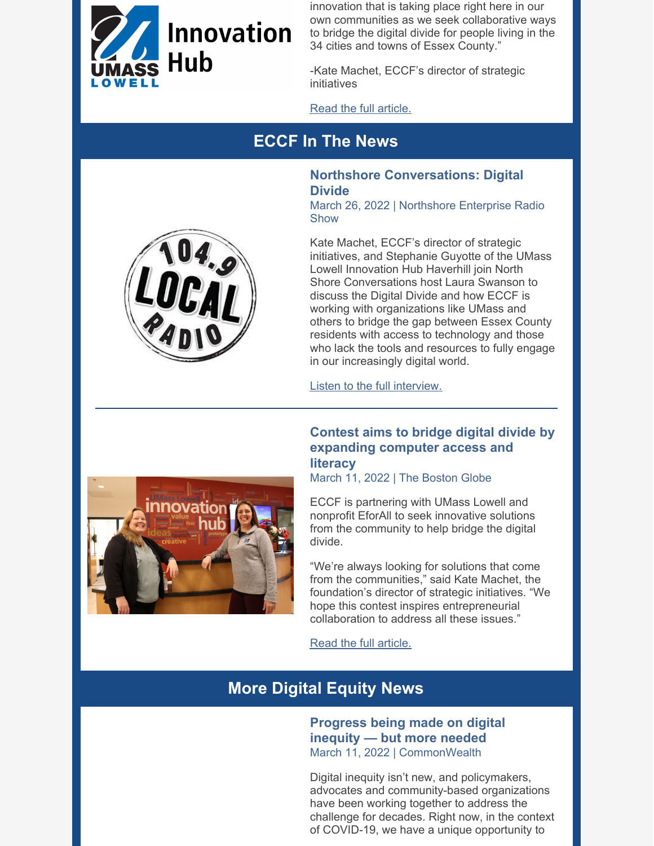

innovation that is taking place right here in our own communities as we seek collaborative ways to bridge the digital divide for people living in the 34 cities and towns of Essex County."

-Kate Machet, ECCF's director of strategic initiatives

Read the full [article.](https://www.eccf.org/blog/2022/05/06/this-is-right-where-eccf-wants-to-be/)

# **ECCF In The News**

#### **Northshore Conversations: Digital Divide** March 26, 2022 | Northshore Enterprise Radio

Show

Kate Machet, ECCF's director of strategic initiatives, and Stephanie Guyotte of the UMass Lowell Innovation Hub Haverhill join North Shore Conversations host Laura Swanson to discuss the Digital Divide and how ECCF is working with organizations like UMass and others to bridge the gap between Essex County residents with access to technology and those who lack the tools and resources to fully engage in our increasingly digital world.

Listen to the full [interview.](https://soundcloud.com/northshore1049/north-shore-conversations-03-26-2022-digital-divide?utm_source=clipboard&utm_medium=text&utm_campaign=social_sharing)

#### **Contest aims to bridge digital divide by expanding computer access and literacy**

March 11, 2022 | The Boston Globe

ECCF is partnering with UMass Lowell and nonprofit EforAll to seek innovative solutions from the community to help bridge the digital divide.

"We're always looking for solutions that come from the communities," said Kate Machet, the foundation's director of strategic initiatives. "We hope this contest inspires entrepreneurial collaboration to address all these issues."

Read the full [article.](https://www.bostonglobe.com/2022/03/11/metro/contest-aims-bridge-digital-divide-by-expanding-computer-access-literacy/)

# **More Digital Equity News**

**Progress being made on digital inequity — but more needed** March 11, 2022 | CommonWealth

Digital inequity isn't new, and policymakers, advocates and community-based organizations have been working together to address the challenge for decades. Right now, in the context of COVID-19, we have a unique opportunity to